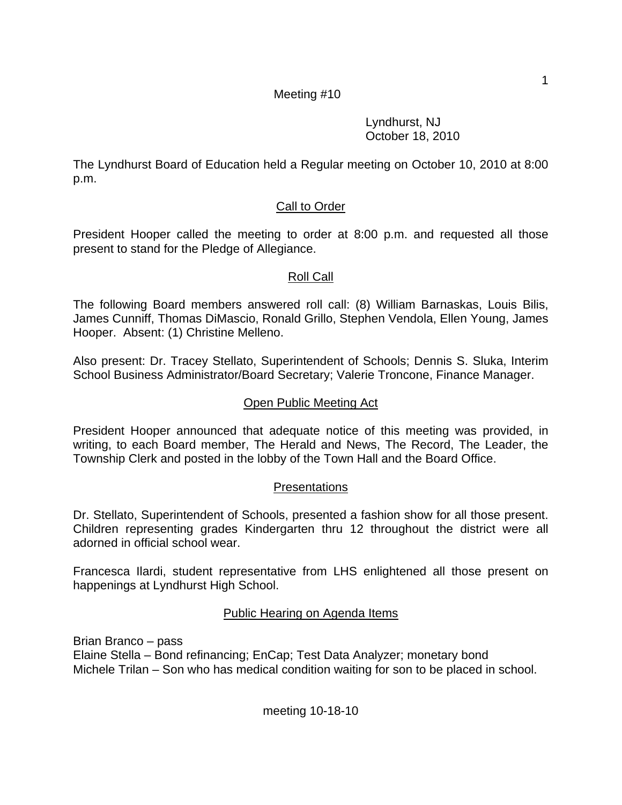Lyndhurst, NJ October 18, 2010

The Lyndhurst Board of Education held a Regular meeting on October 10, 2010 at 8:00 p.m.

# Call to Order

President Hooper called the meeting to order at 8:00 p.m. and requested all those present to stand for the Pledge of Allegiance.

# Roll Call

The following Board members answered roll call: (8) William Barnaskas, Louis Bilis, James Cunniff, Thomas DiMascio, Ronald Grillo, Stephen Vendola, Ellen Young, James Hooper. Absent: (1) Christine Melleno.

Also present: Dr. Tracey Stellato, Superintendent of Schools; Dennis S. Sluka, Interim School Business Administrator/Board Secretary; Valerie Troncone, Finance Manager.

## Open Public Meeting Act

President Hooper announced that adequate notice of this meeting was provided, in writing, to each Board member, The Herald and News, The Record, The Leader, the Township Clerk and posted in the lobby of the Town Hall and the Board Office.

## Presentations

Dr. Stellato, Superintendent of Schools, presented a fashion show for all those present. Children representing grades Kindergarten thru 12 throughout the district were all adorned in official school wear.

Francesca Ilardi, student representative from LHS enlightened all those present on happenings at Lyndhurst High School.

## Public Hearing on Agenda Items

Brian Branco – pass Elaine Stella – Bond refinancing; EnCap; Test Data Analyzer; monetary bond Michele Trilan – Son who has medical condition waiting for son to be placed in school.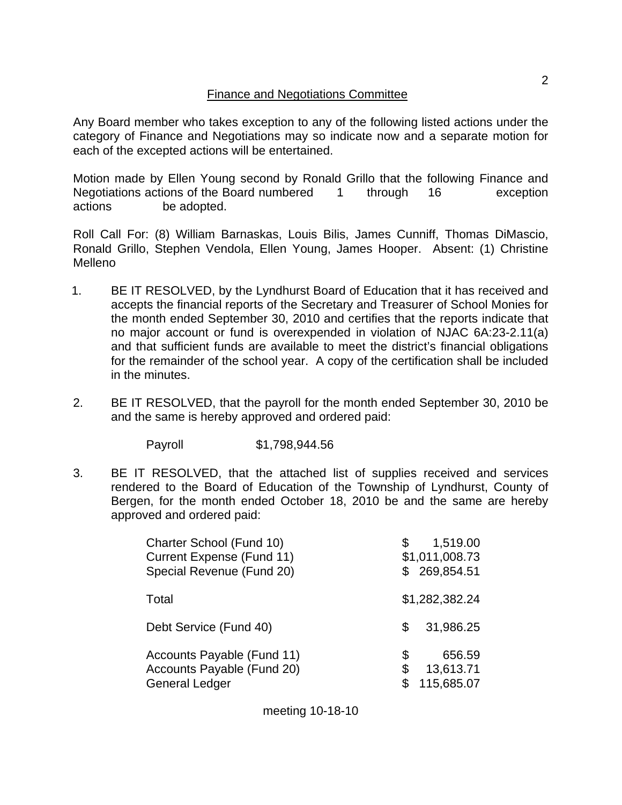Any Board member who takes exception to any of the following listed actions under the category of Finance and Negotiations may so indicate now and a separate motion for each of the excepted actions will be entertained.

Motion made by Ellen Young second by Ronald Grillo that the following Finance and Negotiations actions of the Board numbered 1 through 16 exception actions be adopted.

Roll Call For: (8) William Barnaskas, Louis Bilis, James Cunniff, Thomas DiMascio, Ronald Grillo, Stephen Vendola, Ellen Young, James Hooper. Absent: (1) Christine Melleno

- 1. BE IT RESOLVED, by the Lyndhurst Board of Education that it has received and accepts the financial reports of the Secretary and Treasurer of School Monies for the month ended September 30, 2010 and certifies that the reports indicate that no major account or fund is overexpended in violation of NJAC 6A:23-2.11(a) and that sufficient funds are available to meet the district's financial obligations for the remainder of the school year. A copy of the certification shall be included in the minutes.
- 2. BE IT RESOLVED, that the payroll for the month ended September 30, 2010 be and the same is hereby approved and ordered paid:

Payroll \$1,798,944.56

3. BE IT RESOLVED, that the attached list of supplies received and services rendered to the Board of Education of the Township of Lyndhurst, County of Bergen, for the month ended October 18, 2010 be and the same are hereby approved and ordered paid:

| Charter School (Fund 10)<br><b>Current Expense (Fund 11)</b><br>Special Revenue (Fund 20) | 1,519.00<br>\$<br>\$1,011,008.73<br>\$269,854.51    |
|-------------------------------------------------------------------------------------------|-----------------------------------------------------|
| Total                                                                                     | \$1,282,382.24                                      |
| Debt Service (Fund 40)                                                                    | 31,986.25<br>S                                      |
| Accounts Payable (Fund 11)<br>Accounts Payable (Fund 20)<br><b>General Ledger</b>         | \$<br>656.59<br>\$<br>13,613.71<br>\$<br>115,685.07 |

meeting 10-18-10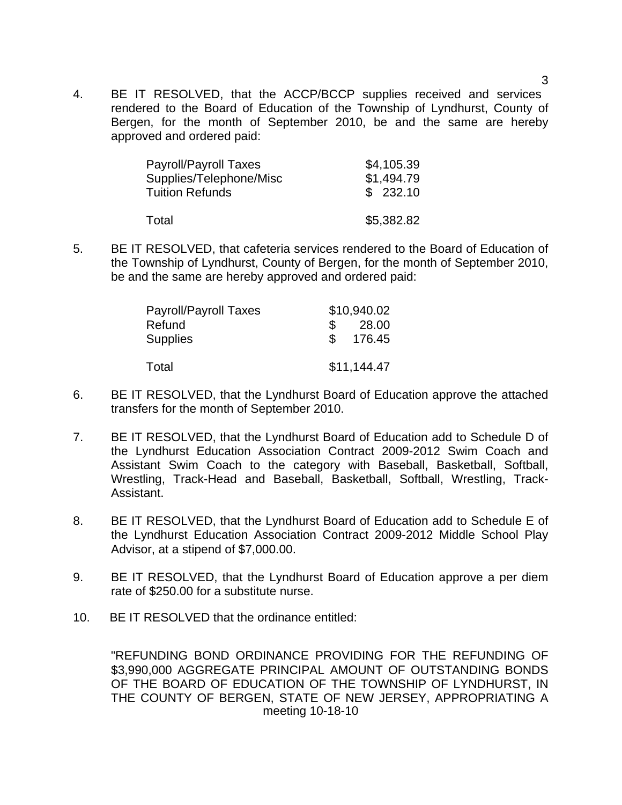4. BE IT RESOLVED, that the ACCP/BCCP supplies received and services rendered to the Board of Education of the Township of Lyndhurst, County of Bergen, for the month of September 2010, be and the same are hereby approved and ordered paid:

| Payroll/Payroll Taxes   | \$4,105.39 |
|-------------------------|------------|
| Supplies/Telephone/Misc | \$1,494.79 |
| <b>Tuition Refunds</b>  | \$232.10   |
|                         |            |
| Total                   | \$5,382.82 |

5. BE IT RESOLVED, that cafeteria services rendered to the Board of Education of the Township of Lyndhurst, County of Bergen, for the month of September 2010, be and the same are hereby approved and ordered paid:

| Payroll/Payroll Taxes | \$10,940.02 |
|-----------------------|-------------|
| Refund                | 28.00       |
| <b>Supplies</b>       | 176.45      |
| Total                 | \$11,144.47 |
|                       |             |

- 6. BE IT RESOLVED, that the Lyndhurst Board of Education approve the attached transfers for the month of September 2010.
- 7. BE IT RESOLVED, that the Lyndhurst Board of Education add to Schedule D of the Lyndhurst Education Association Contract 2009-2012 Swim Coach and Assistant Swim Coach to the category with Baseball, Basketball, Softball, Wrestling, Track-Head and Baseball, Basketball, Softball, Wrestling, Track-Assistant.
- 8. BE IT RESOLVED, that the Lyndhurst Board of Education add to Schedule E of the Lyndhurst Education Association Contract 2009-2012 Middle School Play Advisor, at a stipend of \$7,000.00.
- 9. BE IT RESOLVED, that the Lyndhurst Board of Education approve a per diem rate of \$250.00 for a substitute nurse.
- 10. BE IT RESOLVED that the ordinance entitled:

meeting 10-18-10 "REFUNDING BOND ORDINANCE PROVIDING FOR THE REFUNDING OF \$3,990,000 AGGREGATE PRINCIPAL AMOUNT OF OUTSTANDING BONDS OF THE BOARD OF EDUCATION OF THE TOWNSHIP OF LYNDHURST, IN THE COUNTY OF BERGEN, STATE OF NEW JERSEY, APPROPRIATING A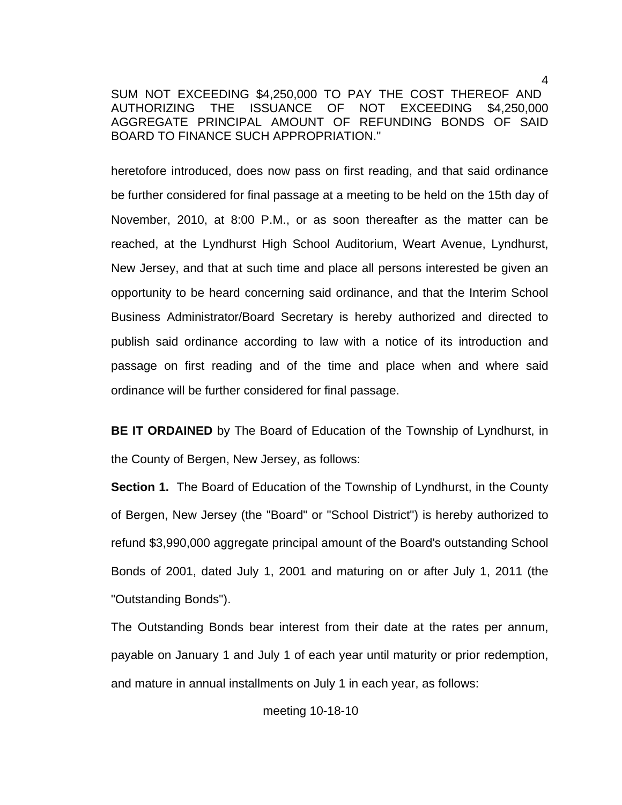SUM NOT EXCEEDING \$4,250,000 TO PAY THE COST THEREOF AND AUTHORIZING THE ISSUANCE OF NOT EXCEEDING \$4,250,000 AGGREGATE PRINCIPAL AMOUNT OF REFUNDING BONDS OF SAID BOARD TO FINANCE SUCH APPROPRIATION."

 heretofore introduced, does now pass on first reading, and that said ordinance be further considered for final passage at a meeting to be held on the 15th day of November, 2010, at 8:00 P.M., or as soon thereafter as the matter can be reached, at the Lyndhurst High School Auditorium, Weart Avenue, Lyndhurst, New Jersey, and that at such time and place all persons interested be given an opportunity to be heard concerning said ordinance, and that the Interim School Business Administrator/Board Secretary is hereby authorized and directed to publish said ordinance according to law with a notice of its introduction and passage on first reading and of the time and place when and where said ordinance will be further considered for final passage.

 **BE IT ORDAINED** by The Board of Education of the Township of Lyndhurst, in the County of Bergen, New Jersey, as follows:

**Section 1.** The Board of Education of the Township of Lyndhurst, in the County of Bergen, New Jersey (the "Board" or "School District") is hereby authorized to refund \$3,990,000 aggregate principal amount of the Board's outstanding School Bonds of 2001, dated July 1, 2001 and maturing on or after July 1, 2011 (the "Outstanding Bonds").

 The Outstanding Bonds bear interest from their date at the rates per annum, payable on January 1 and July 1 of each year until maturity or prior redemption, and mature in annual installments on July 1 in each year, as follows: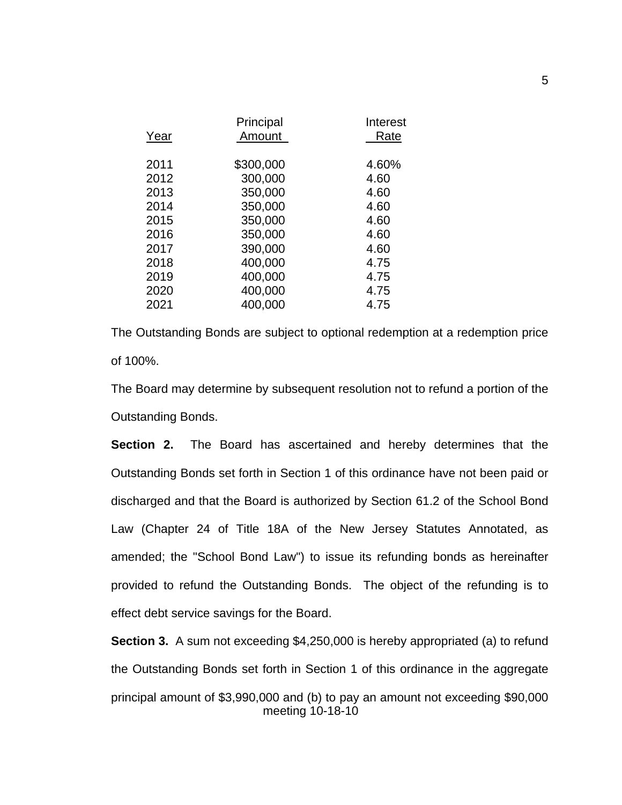| Year | Principal<br>Amount | Interest<br>Rate |
|------|---------------------|------------------|
| 2011 | \$300,000           | 4.60%            |
| 2012 | 300,000             | 4.60             |
| 2013 | 350,000             | 4.60             |
| 2014 | 350,000             | 4.60             |
| 2015 | 350,000             | 4.60             |
| 2016 | 350,000             | 4.60             |
| 2017 | 390,000             | 4.60             |
| 2018 | 400,000             | 4.75             |
| 2019 | 400,000             | 4.75             |
| 2020 | 400,000             | 4.75             |
| 2021 | 400,000             | 4.75             |

 The Outstanding Bonds are subject to optional redemption at a redemption price of 100%.

 The Board may determine by subsequent resolution not to refund a portion of the Outstanding Bonds.

**Section 2.** The Board has ascertained and hereby determines that the Outstanding Bonds set forth in Section 1 of this ordinance have not been paid or discharged and that the Board is authorized by Section 61.2 of the School Bond Law (Chapter 24 of Title 18A of the New Jersey Statutes Annotated, as amended; the "School Bond Law") to issue its refunding bonds as hereinafter provided to refund the Outstanding Bonds. The object of the refunding is to effect debt service savings for the Board.

meeting 10-18-10 **Section 3.** A sum not exceeding \$4,250,000 is hereby appropriated (a) to refund the Outstanding Bonds set forth in Section 1 of this ordinance in the aggregate principal amount of \$3,990,000 and (b) to pay an amount not exceeding \$90,000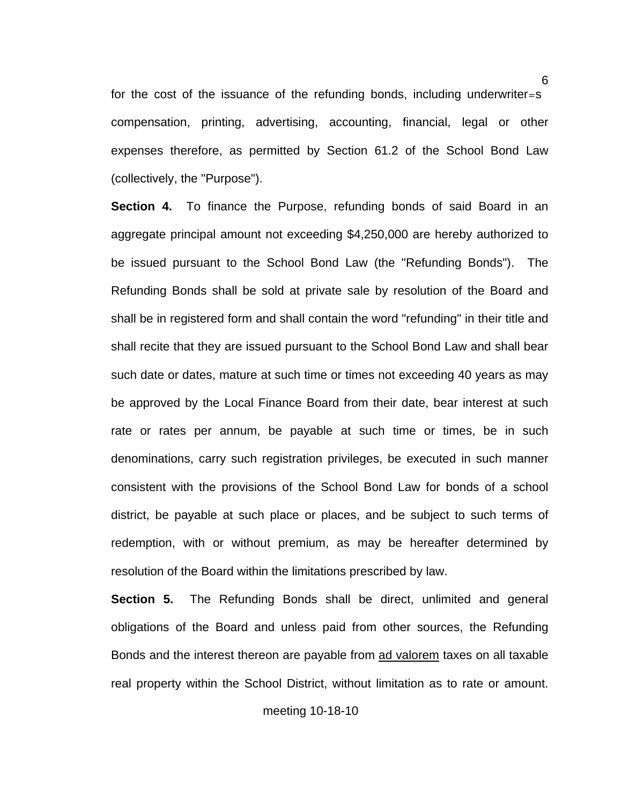for the cost of the issuance of the refunding bonds, including underwriter=s compensation, printing, advertising, accounting, financial, legal or other expenses therefore, as permitted by Section 61.2 of the School Bond Law (collectively, the "Purpose").

**Section 4.** To finance the Purpose, refunding bonds of said Board in an aggregate principal amount not exceeding \$4,250,000 are hereby authorized to be issued pursuant to the School Bond Law (the "Refunding Bonds"). The Refunding Bonds shall be sold at private sale by resolution of the Board and shall be in registered form and shall contain the word "refunding" in their title and shall recite that they are issued pursuant to the School Bond Law and shall bear such date or dates, mature at such time or times not exceeding 40 years as may be approved by the Local Finance Board from their date, bear interest at such rate or rates per annum, be payable at such time or times, be in such denominations, carry such registration privileges, be executed in such manner consistent with the provisions of the School Bond Law for bonds of a school district, be payable at such place or places, and be subject to such terms of redemption, with or without premium, as may be hereafter determined by resolution of the Board within the limitations prescribed by law.

 **Section 5.** The Refunding Bonds shall be direct, unlimited and general obligations of the Board and unless paid from other sources, the Refunding Bonds and the interest thereon are payable from ad valorem taxes on all taxable real property within the School District, without limitation as to rate or amount.

meeting 10-18-10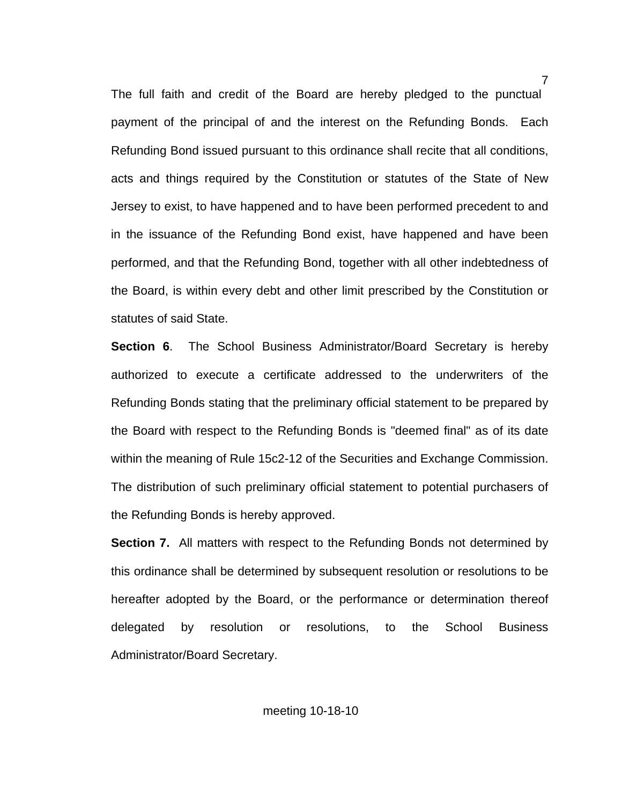The full faith and credit of the Board are hereby pledged to the punctual payment of the principal of and the interest on the Refunding Bonds. Each Refunding Bond issued pursuant to this ordinance shall recite that all conditions, acts and things required by the Constitution or statutes of the State of New Jersey to exist, to have happened and to have been performed precedent to and in the issuance of the Refunding Bond exist, have happened and have been performed, and that the Refunding Bond, together with all other indebtedness of the Board, is within every debt and other limit prescribed by the Constitution or statutes of said State.

**Section 6.** The School Business Administrator/Board Secretary is hereby authorized to execute a certificate addressed to the underwriters of the Refunding Bonds stating that the preliminary official statement to be prepared by the Board with respect to the Refunding Bonds is "deemed final" as of its date within the meaning of Rule 15c2-12 of the Securities and Exchange Commission. The distribution of such preliminary official statement to potential purchasers of the Refunding Bonds is hereby approved.

**Section 7.** All matters with respect to the Refunding Bonds not determined by this ordinance shall be determined by subsequent resolution or resolutions to be hereafter adopted by the Board, or the performance or determination thereof delegated by resolution or resolutions, to the School Business Administrator/Board Secretary.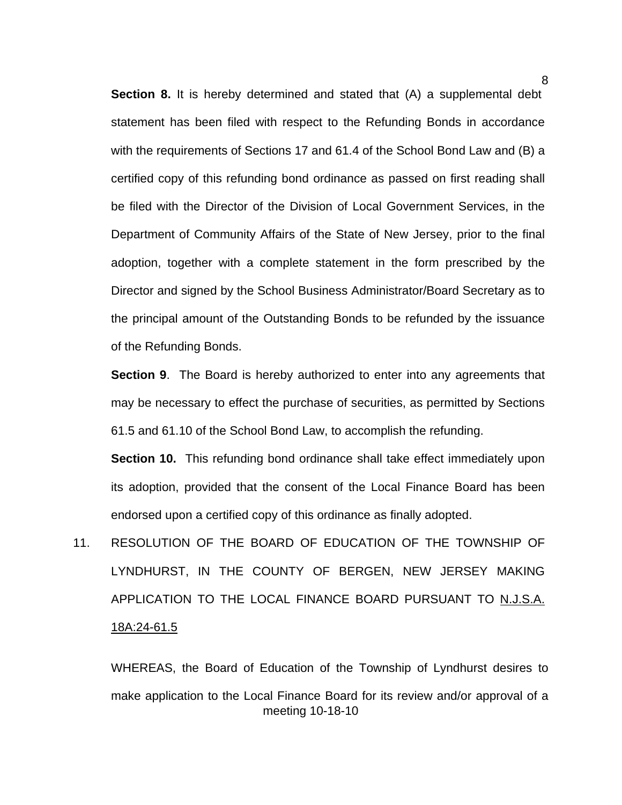**Section 8.** It is hereby determined and stated that (A) a supplemental debt statement has been filed with respect to the Refunding Bonds in accordance with the requirements of Sections 17 and 61.4 of the School Bond Law and (B) a certified copy of this refunding bond ordinance as passed on first reading shall be filed with the Director of the Division of Local Government Services, in the Department of Community Affairs of the State of New Jersey, prior to the final adoption, together with a complete statement in the form prescribed by the Director and signed by the School Business Administrator/Board Secretary as to the principal amount of the Outstanding Bonds to be refunded by the issuance of the Refunding Bonds.

 **Section 9**. The Board is hereby authorized to enter into any agreements that may be necessary to effect the purchase of securities, as permitted by Sections 61.5 and 61.10 of the School Bond Law, to accomplish the refunding.

**Section 10.** This refunding bond ordinance shall take effect immediately upon its adoption, provided that the consent of the Local Finance Board has been endorsed upon a certified copy of this ordinance as finally adopted.

11. RESOLUTION OF THE BOARD OF EDUCATION OF THE TOWNSHIP OF LYNDHURST, IN THE COUNTY OF BERGEN, NEW JERSEY MAKING APPLICATION TO THE LOCAL FINANCE BOARD PURSUANT TO N.J.S.A. 18A:24-61.5

meeting 10-18-10 WHEREAS, the Board of Education of the Township of Lyndhurst desires to make application to the Local Finance Board for its review and/or approval of a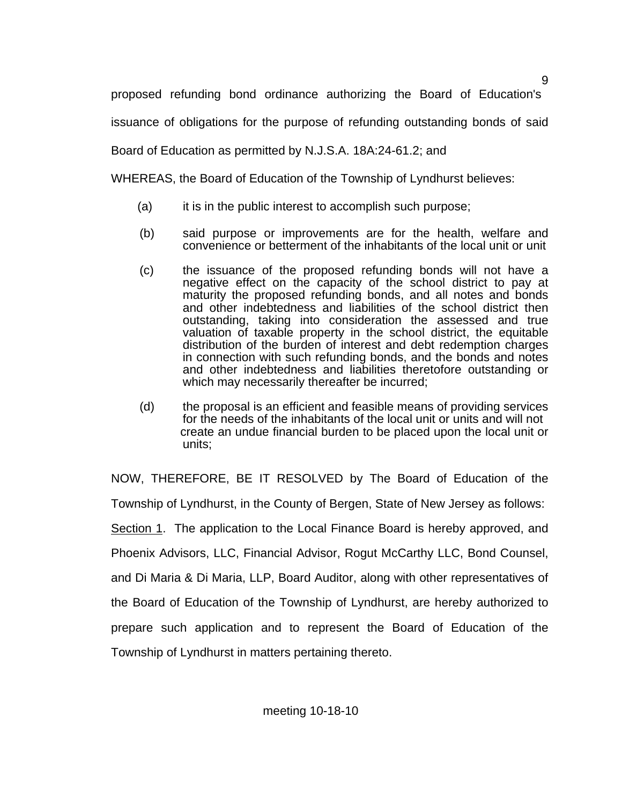proposed refunding bond ordinance authorizing the Board of Education's

issuance of obligations for the purpose of refunding outstanding bonds of said

Board of Education as permitted by N.J.S.A. 18A:24-61.2; and

WHEREAS, the Board of Education of the Township of Lyndhurst believes:

- (a) it is in the public interest to accomplish such purpose;
- (b) said purpose or improvements are for the health, welfare and convenience or betterment of the inhabitants of the local unit or unit
- (c) the issuance of the proposed refunding bonds will not have a negative effect on the capacity of the school district to pay at maturity the proposed refunding bonds, and all notes and bonds and other indebtedness and liabilities of the school district then outstanding, taking into consideration the assessed and true valuation of taxable property in the school district, the equitable distribution of the burden of interest and debt redemption charges in connection with such refunding bonds, and the bonds and notes and other indebtedness and liabilities theretofore outstanding or which may necessarily thereafter be incurred;
- (d) the proposal is an efficient and feasible means of providing services for the needs of the inhabitants of the local unit or units and will not create an undue financial burden to be placed upon the local unit or units;

 NOW, THEREFORE, BE IT RESOLVED by The Board of Education of the Township of Lyndhurst, in the County of Bergen, State of New Jersey as follows: Section 1. The application to the Local Finance Board is hereby approved, and Phoenix Advisors, LLC, Financial Advisor, Rogut McCarthy LLC, Bond Counsel, and Di Maria & Di Maria, LLP, Board Auditor, along with other representatives of the Board of Education of the Township of Lyndhurst, are hereby authorized to prepare such application and to represent the Board of Education of the Township of Lyndhurst in matters pertaining thereto.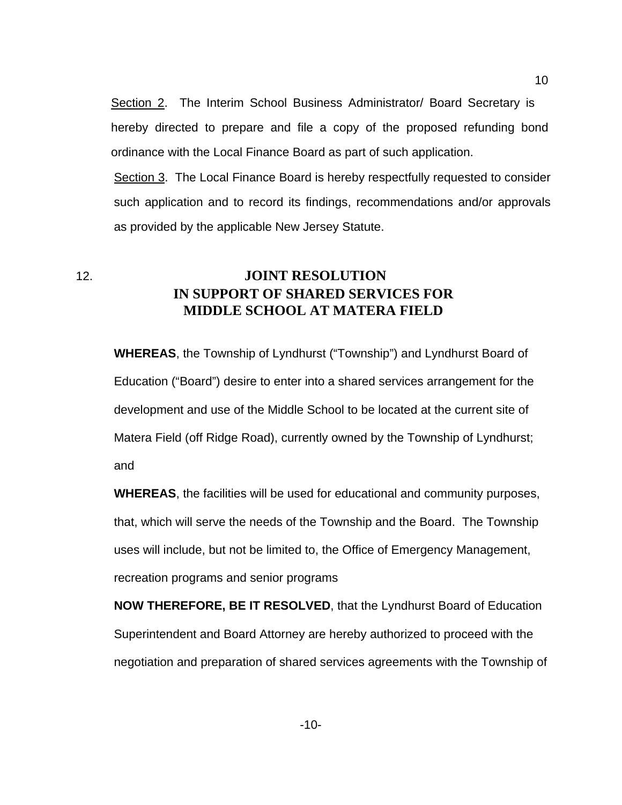Section 2. The Interim School Business Administrator/ Board Secretary is hereby directed to prepare and file a copy of the proposed refunding bond ordinance with the Local Finance Board as part of such application.

Section 3. The Local Finance Board is hereby respectfully requested to consider such application and to record its findings, recommendations and/or approvals as provided by the applicable New Jersey Statute.

12. **JOINT RESOLUTION IN SUPPORT OF SHARED SERVICES FOR MIDDLE SCHOOL AT MATERA FIELD**

 **WHEREAS**, the Township of Lyndhurst ("Township") and Lyndhurst Board of Education ("Board") desire to enter into a shared services arrangement for the development and use of the Middle School to be located at the current site of Matera Field (off Ridge Road), currently owned by the Township of Lyndhurst; and

 **WHEREAS**, the facilities will be used for educational and community purposes, that, which will serve the needs of the Township and the Board. The Township uses will include, but not be limited to, the Office of Emergency Management, recreation programs and senior programs

 **NOW THEREFORE, BE IT RESOLVED**, that the Lyndhurst Board of Education Superintendent and Board Attorney are hereby authorized to proceed with the negotiation and preparation of shared services agreements with the Township of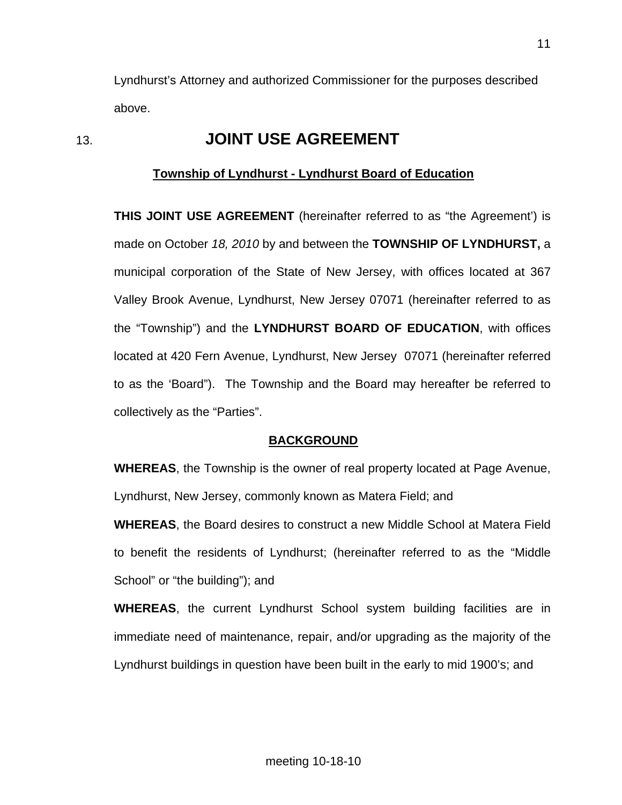Lyndhurst's Attorney and authorized Commissioner for the purposes described above.

# 13. **JOINT USE AGREEMENT**

## **Township of Lyndhurst - Lyndhurst Board of Education**

 **THIS JOINT USE AGREEMENT** (hereinafter referred to as "the Agreement') is made on October *18, 2010* by and between the **TOWNSHIP OF LYNDHURST,** a municipal corporation of the State of New Jersey, with offices located at 367 Valley Brook Avenue, Lyndhurst, New Jersey 07071 (hereinafter referred to as the "Township") and the **LYNDHURST BOARD OF EDUCATION**, with offices located at 420 Fern Avenue, Lyndhurst, New Jersey 07071 (hereinafter referred to as the 'Board"). The Township and the Board may hereafter be referred to collectively as the "Parties".

## **BACKGROUND**

**WHEREAS**, the Township is the owner of real property located at Page Avenue, Lyndhurst, New Jersey, commonly known as Matera Field; and

 **WHEREAS**, the Board desires to construct a new Middle School at Matera Field to benefit the residents of Lyndhurst; (hereinafter referred to as the "Middle School" or "the building"); and

 **WHEREAS**, the current Lyndhurst School system building facilities are in immediate need of maintenance, repair, and/or upgrading as the majority of the Lyndhurst buildings in question have been built in the early to mid 1900's; and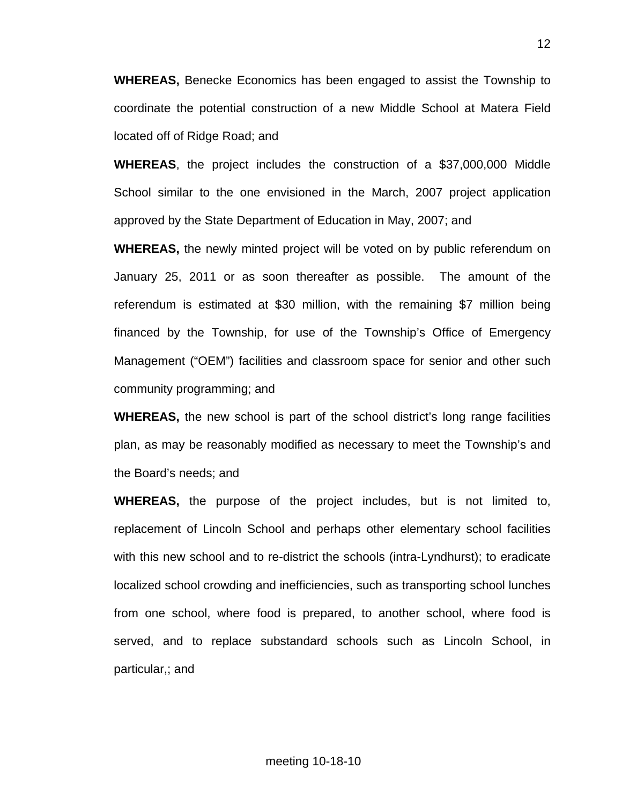**WHEREAS,** Benecke Economics has been engaged to assist the Township to coordinate the potential construction of a new Middle School at Matera Field located off of Ridge Road; and

 **WHEREAS**, the project includes the construction of a \$37,000,000 Middle School similar to the one envisioned in the March, 2007 project application approved by the State Department of Education in May, 2007; and

 **WHEREAS,** the newly minted project will be voted on by public referendum on January 25, 2011 or as soon thereafter as possible. The amount of the referendum is estimated at \$30 million, with the remaining \$7 million being financed by the Township, for use of the Township's Office of Emergency Management ("OEM") facilities and classroom space for senior and other such community programming; and

 **WHEREAS,** the new school is part of the school district's long range facilities plan, as may be reasonably modified as necessary to meet the Township's and the Board's needs; and

 **WHEREAS,** the purpose of the project includes, but is not limited to, replacement of Lincoln School and perhaps other elementary school facilities with this new school and to re-district the schools (intra-Lyndhurst); to eradicate localized school crowding and inefficiencies, such as transporting school lunches from one school, where food is prepared, to another school, where food is served, and to replace substandard schools such as Lincoln School, in particular,; and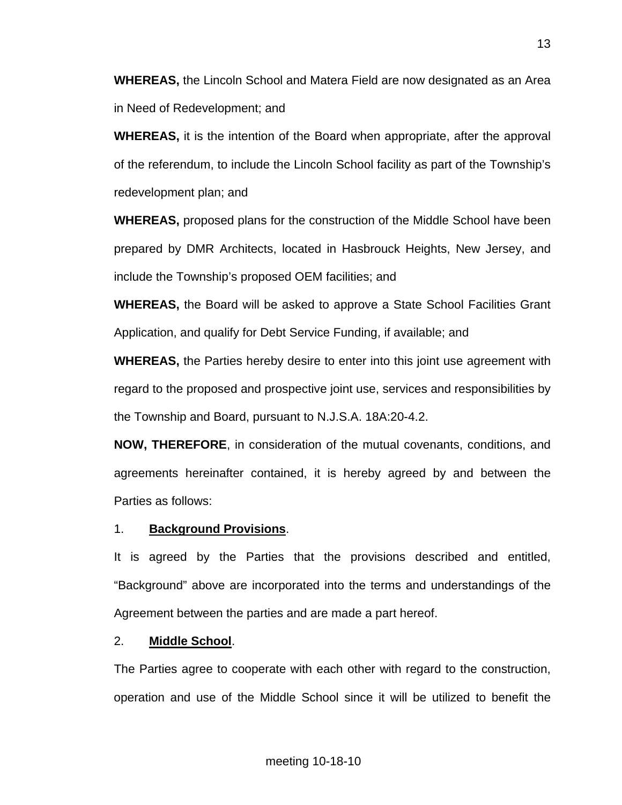**WHEREAS,** the Lincoln School and Matera Field are now designated as an Area in Need of Redevelopment; and

 **WHEREAS,** it is the intention of the Board when appropriate, after the approval of the referendum, to include the Lincoln School facility as part of the Township's redevelopment plan; and

 **WHEREAS,** proposed plans for the construction of the Middle School have been prepared by DMR Architects, located in Hasbrouck Heights, New Jersey, and include the Township's proposed OEM facilities; and

 **WHEREAS,** the Board will be asked to approve a State School Facilities Grant Application, and qualify for Debt Service Funding, if available; and

 **WHEREAS,** the Parties hereby desire to enter into this joint use agreement with regard to the proposed and prospective joint use, services and responsibilities by the Township and Board, pursuant to N.J.S.A. 18A:20-4.2.

 **NOW, THEREFORE**, in consideration of the mutual covenants, conditions, and agreements hereinafter contained, it is hereby agreed by and between the Parties as follows:

## 1. **Background Provisions**.

 It is agreed by the Parties that the provisions described and entitled, "Background" above are incorporated into the terms and understandings of the Agreement between the parties and are made a part hereof.

## 2. **Middle School**.

 The Parties agree to cooperate with each other with regard to the construction, operation and use of the Middle School since it will be utilized to benefit the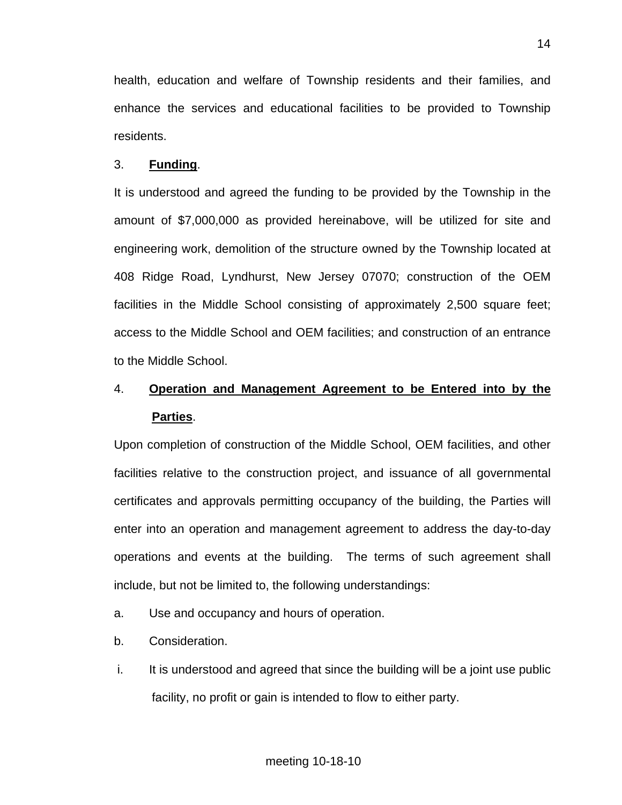health, education and welfare of Township residents and their families, and enhance the services and educational facilities to be provided to Township residents.

#### 3. **Funding**.

 It is understood and agreed the funding to be provided by the Township in the amount of \$7,000,000 as provided hereinabove, will be utilized for site and engineering work, demolition of the structure owned by the Township located at 408 Ridge Road, Lyndhurst, New Jersey 07070; construction of the OEM facilities in the Middle School consisting of approximately 2,500 square feet; access to the Middle School and OEM facilities; and construction of an entrance to the Middle School.

# 4. **Operation and Management Agreement to be Entered into by the Parties**.

 Upon completion of construction of the Middle School, OEM facilities, and other facilities relative to the construction project, and issuance of all governmental certificates and approvals permitting occupancy of the building, the Parties will enter into an operation and management agreement to address the day-to-day operations and events at the building. The terms of such agreement shall include, but not be limited to, the following understandings:

- a. Use and occupancy and hours of operation.
- b. Consideration.
- i. It is understood and agreed that since the building will be a joint use public facility, no profit or gain is intended to flow to either party.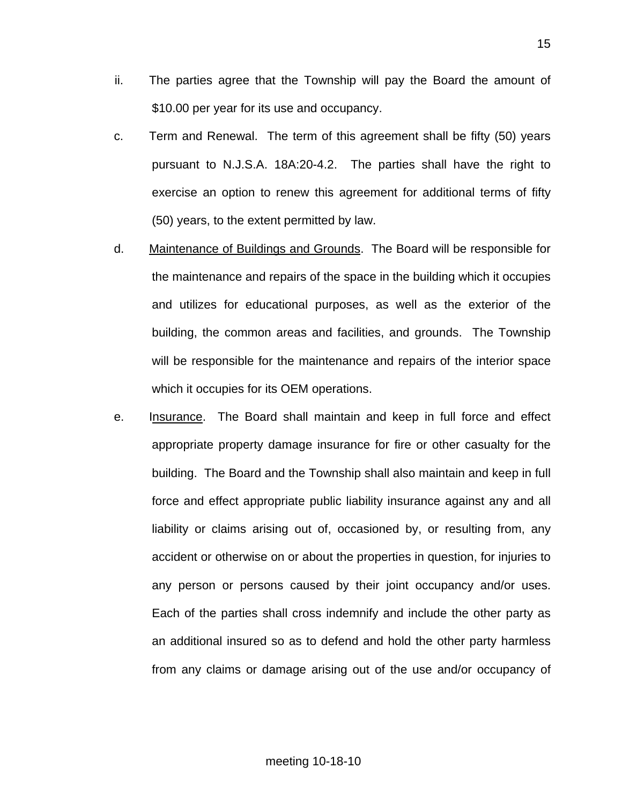- ii. The parties agree that the Township will pay the Board the amount of \$10.00 per year for its use and occupancy.
- c. Term and Renewal. The term of this agreement shall be fifty (50) years pursuant to N.J.S.A. 18A:20-4.2. The parties shall have the right to exercise an option to renew this agreement for additional terms of fifty (50) years, to the extent permitted by law.
- d. Maintenance of Buildings and Grounds. The Board will be responsible for the maintenance and repairs of the space in the building which it occupies and utilizes for educational purposes, as well as the exterior of the building, the common areas and facilities, and grounds. The Township will be responsible for the maintenance and repairs of the interior space which it occupies for its OEM operations.
- e. Insurance. The Board shall maintain and keep in full force and effect appropriate property damage insurance for fire or other casualty for the building. The Board and the Township shall also maintain and keep in full force and effect appropriate public liability insurance against any and all liability or claims arising out of, occasioned by, or resulting from, any accident or otherwise on or about the properties in question, for injuries to any person or persons caused by their joint occupancy and/or uses. Each of the parties shall cross indemnify and include the other party as an additional insured so as to defend and hold the other party harmless from any claims or damage arising out of the use and/or occupancy of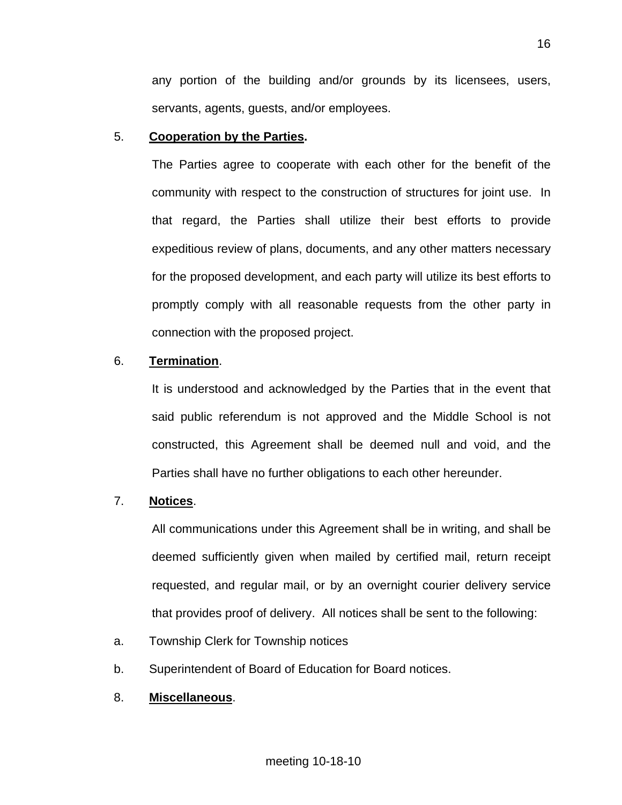any portion of the building and/or grounds by its licensees, users, servants, agents, guests, and/or employees.

## 5. **Cooperation by the Parties.**

The Parties agree to cooperate with each other for the benefit of the community with respect to the construction of structures for joint use. In that regard, the Parties shall utilize their best efforts to provide expeditious review of plans, documents, and any other matters necessary for the proposed development, and each party will utilize its best efforts to promptly comply with all reasonable requests from the other party in connection with the proposed project.

## 6. **Termination**.

It is understood and acknowledged by the Parties that in the event that said public referendum is not approved and the Middle School is not constructed, this Agreement shall be deemed null and void, and the Parties shall have no further obligations to each other hereunder.

## 7. **Notices**.

All communications under this Agreement shall be in writing, and shall be deemed sufficiently given when mailed by certified mail, return receipt requested, and regular mail, or by an overnight courier delivery service that provides proof of delivery. All notices shall be sent to the following:

- a. Township Clerk for Township notices
- b. Superintendent of Board of Education for Board notices.
- 8. **Miscellaneous**.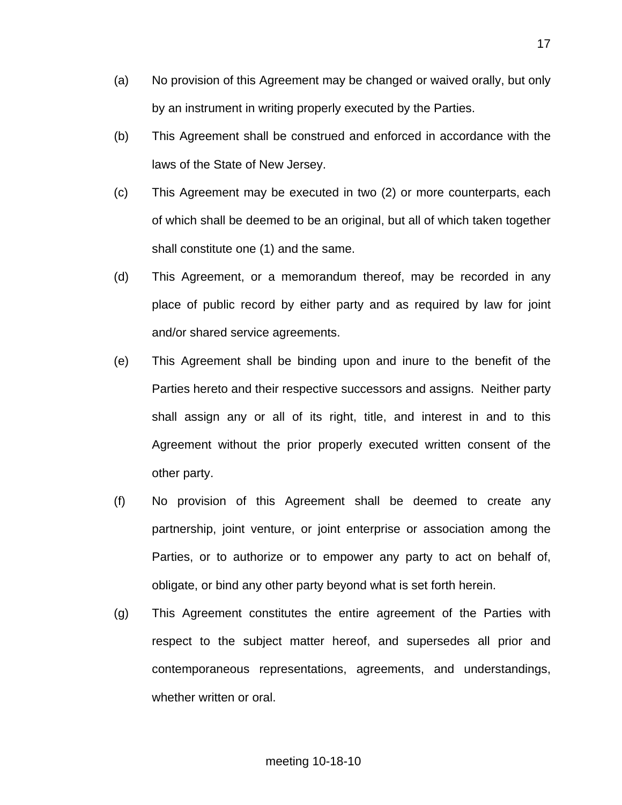- (a) No provision of this Agreement may be changed or waived orally, but only by an instrument in writing properly executed by the Parties.
- (b) This Agreement shall be construed and enforced in accordance with the laws of the State of New Jersey.
- (c) This Agreement may be executed in two (2) or more counterparts, each of which shall be deemed to be an original, but all of which taken together shall constitute one (1) and the same.
- (d) This Agreement, or a memorandum thereof, may be recorded in any place of public record by either party and as required by law for joint and/or shared service agreements.
- (e) This Agreement shall be binding upon and inure to the benefit of the Parties hereto and their respective successors and assigns. Neither party shall assign any or all of its right, title, and interest in and to this Agreement without the prior properly executed written consent of the other party.
- (f) No provision of this Agreement shall be deemed to create any partnership, joint venture, or joint enterprise or association among the Parties, or to authorize or to empower any party to act on behalf of, obligate, or bind any other party beyond what is set forth herein.
- (g) This Agreement constitutes the entire agreement of the Parties with respect to the subject matter hereof, and supersedes all prior and contemporaneous representations, agreements, and understandings, whether written or oral.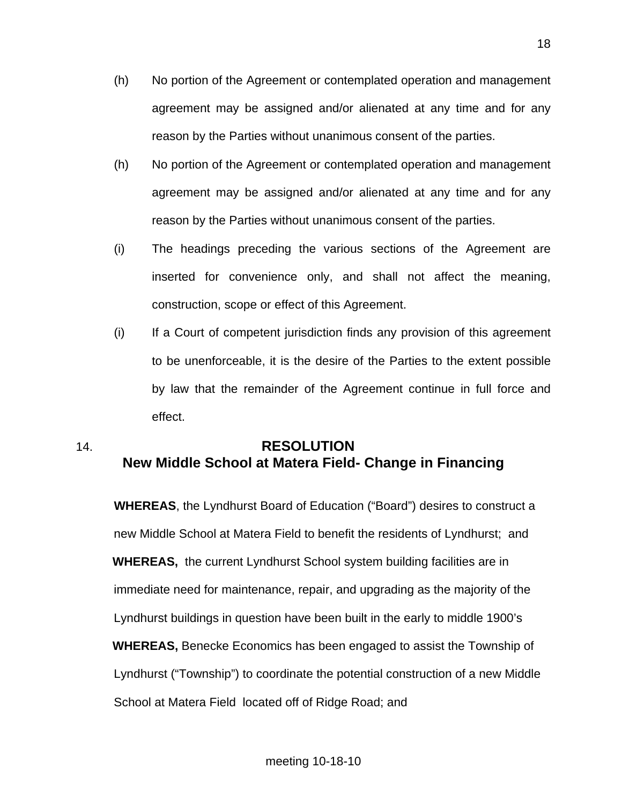- (h) No portion of the Agreement or contemplated operation and management agreement may be assigned and/or alienated at any time and for any reason by the Parties without unanimous consent of the parties.
- (h) No portion of the Agreement or contemplated operation and management agreement may be assigned and/or alienated at any time and for any reason by the Parties without unanimous consent of the parties.
- (i) The headings preceding the various sections of the Agreement are inserted for convenience only, and shall not affect the meaning, construction, scope or effect of this Agreement.
- (i) If a Court of competent jurisdiction finds any provision of this agreement to be unenforceable, it is the desire of the Parties to the extent possible by law that the remainder of the Agreement continue in full force and effect.

# 14. **RESOLUTION New Middle School at Matera Field- Change in Financing**

 **WHEREAS**, the Lyndhurst Board of Education ("Board") desires to construct a new Middle School at Matera Field to benefit the residents of Lyndhurst; and **WHEREAS,** the current Lyndhurst School system building facilities are in immediate need for maintenance, repair, and upgrading as the majority of the Lyndhurst buildings in question have been built in the early to middle 1900's **WHEREAS,** Benecke Economics has been engaged to assist the Township of Lyndhurst ("Township") to coordinate the potential construction of a new Middle School at Matera Field located off of Ridge Road; and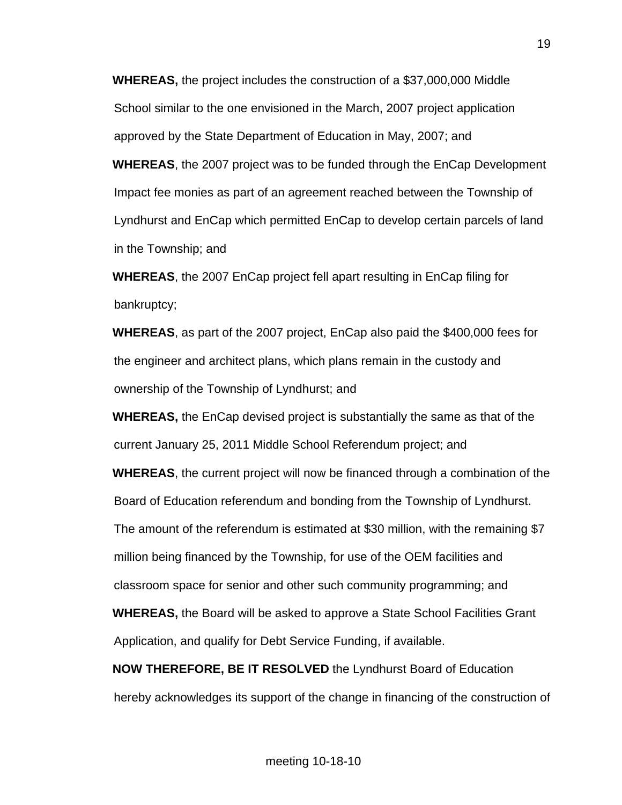**WHEREAS,** the project includes the construction of a \$37,000,000 Middle School similar to the one envisioned in the March, 2007 project application approved by the State Department of Education in May, 2007; and

**WHEREAS**, the 2007 project was to be funded through the EnCap Development Impact fee monies as part of an agreement reached between the Township of Lyndhurst and EnCap which permitted EnCap to develop certain parcels of land in the Township; and

**WHEREAS**, the 2007 EnCap project fell apart resulting in EnCap filing for bankruptcy;

**WHEREAS**, as part of the 2007 project, EnCap also paid the \$400,000 fees for the engineer and architect plans, which plans remain in the custody and ownership of the Township of Lyndhurst; and

**WHEREAS,** the EnCap devised project is substantially the same as that of the current January 25, 2011 Middle School Referendum project; and

**WHEREAS**, the current project will now be financed through a combination of the Board of Education referendum and bonding from the Township of Lyndhurst. The amount of the referendum is estimated at \$30 million, with the remaining \$7 million being financed by the Township, for use of the OEM facilities and classroom space for senior and other such community programming; and **WHEREAS,** the Board will be asked to approve a State School Facilities Grant Application, and qualify for Debt Service Funding, if available.

**NOW THEREFORE, BE IT RESOLVED** the Lyndhurst Board of Education hereby acknowledges its support of the change in financing of the construction of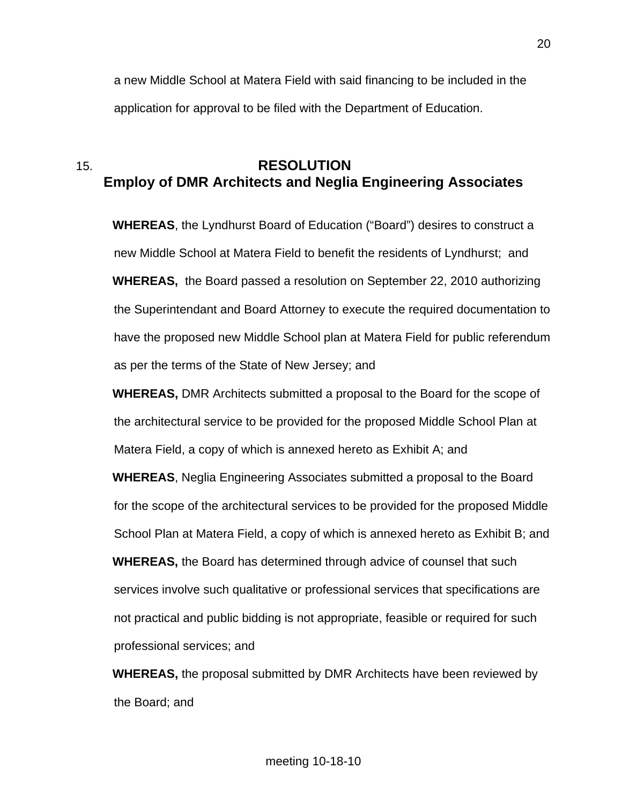a new Middle School at Matera Field with said financing to be included in the application for approval to be filed with the Department of Education.

## 15. **RESOLUTION Employ of DMR Architects and Neglia Engineering Associates**

**WHEREAS**, the Lyndhurst Board of Education ("Board") desires to construct a new Middle School at Matera Field to benefit the residents of Lyndhurst; and **WHEREAS,** the Board passed a resolution on September 22, 2010 authorizing the Superintendant and Board Attorney to execute the required documentation to have the proposed new Middle School plan at Matera Field for public referendum as per the terms of the State of New Jersey; and

**WHEREAS,** DMR Architects submitted a proposal to the Board for the scope of the architectural service to be provided for the proposed Middle School Plan at Matera Field, a copy of which is annexed hereto as Exhibit A; and

**WHEREAS**, Neglia Engineering Associates submitted a proposal to the Board for the scope of the architectural services to be provided for the proposed Middle School Plan at Matera Field, a copy of which is annexed hereto as Exhibit B; and **WHEREAS,** the Board has determined through advice of counsel that such services involve such qualitative or professional services that specifications are not practical and public bidding is not appropriate, feasible or required for such professional services; and

**WHEREAS,** the proposal submitted by DMR Architects have been reviewed by the Board; and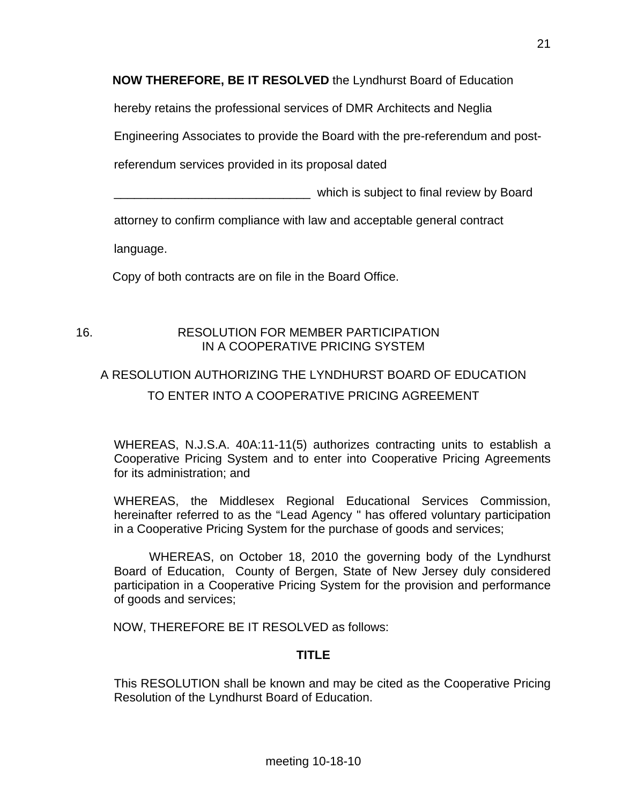**NOW THEREFORE, BE IT RESOLVED** the Lyndhurst Board of Education

hereby retains the professional services of DMR Architects and Neglia

Engineering Associates to provide the Board with the pre-referendum and post-

referendum services provided in its proposal dated

which is subject to final review by Board

attorney to confirm compliance with law and acceptable general contract

language.

Copy of both contracts are on file in the Board Office.

## 16. RESOLUTION FOR MEMBER PARTICIPATION IN A COOPERATIVE PRICING SYSTEM

# A RESOLUTION AUTHORIZING THE LYNDHURST BOARD OF EDUCATION TO ENTER INTO A COOPERATIVE PRICING AGREEMENT

 WHEREAS, N.J.S.A. 40A:11-11(5) authorizes contracting units to establish a Cooperative Pricing System and to enter into Cooperative Pricing Agreements for its administration; and

 WHEREAS, the Middlesex Regional Educational Services Commission, hereinafter referred to as the "Lead Agency " has offered voluntary participation in a Cooperative Pricing System for the purchase of goods and services;

 WHEREAS, on October 18, 2010 the governing body of the Lyndhurst Board of Education, County of Bergen, State of New Jersey duly considered participation in a Cooperative Pricing System for the provision and performance of goods and services;

NOW, THEREFORE BE IT RESOLVED as follows:

## **TITLE**

 This RESOLUTION shall be known and may be cited as the Cooperative Pricing Resolution of the Lyndhurst Board of Education.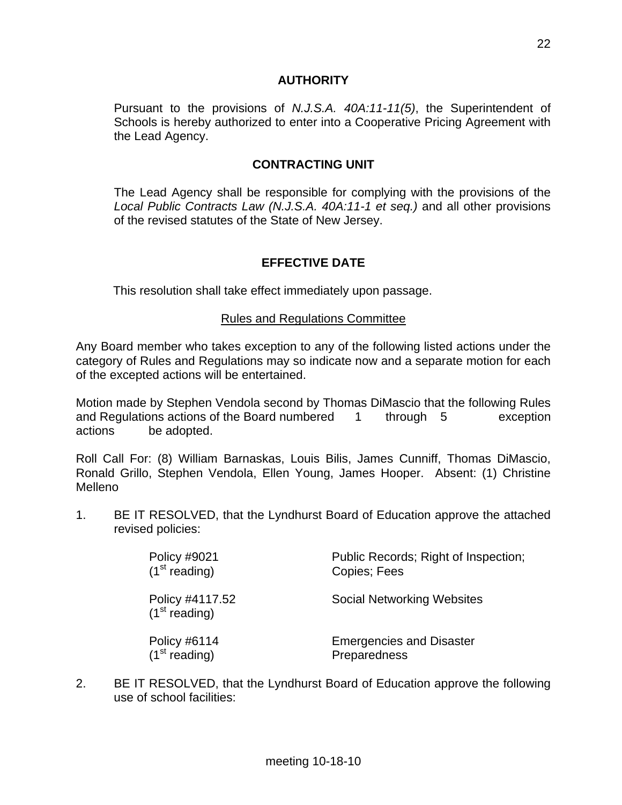#### **AUTHORITY**

 Pursuant to the provisions of *N.J.S.A. 40A:11-11(5)*, the Superintendent of Schools is hereby authorized to enter into a Cooperative Pricing Agreement with the Lead Agency.

#### **CONTRACTING UNIT**

 The Lead Agency shall be responsible for complying with the provisions of the *Local Public Contracts Law (N.J.S.A. 40A:11-1 et seq.)* and all other provisions of the revised statutes of the State of New Jersey.

## **EFFECTIVE DATE**

This resolution shall take effect immediately upon passage.

#### Rules and Regulations Committee

Any Board member who takes exception to any of the following listed actions under the category of Rules and Regulations may so indicate now and a separate motion for each of the excepted actions will be entertained.

Motion made by Stephen Vendola second by Thomas DiMascio that the following Rules and Regulations actions of the Board numbered 1 through 5 exception actions be adopted.

Roll Call For: (8) William Barnaskas, Louis Bilis, James Cunniff, Thomas DiMascio, Ronald Grillo, Stephen Vendola, Ellen Young, James Hooper. Absent: (1) Christine Melleno

1. BE IT RESOLVED, that the Lyndhurst Board of Education approve the attached revised policies:

| Policy #9021<br>(1 <sup>st</sup> reading)    | Public Records; Right of Inspection;<br>Copies; Fees |
|----------------------------------------------|------------------------------------------------------|
| Policy #4117.52<br>(1 <sup>st</sup> reading) | <b>Social Networking Websites</b>                    |
| Policy #6114<br>(1 <sup>st</sup> reading)    | <b>Emergencies and Disaster</b><br>Preparedness      |

2. BE IT RESOLVED, that the Lyndhurst Board of Education approve the following use of school facilities: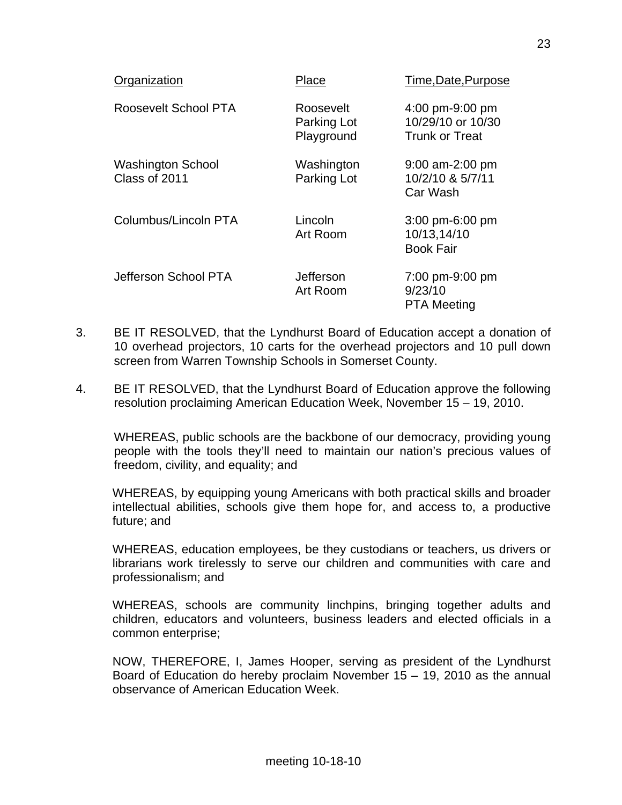| Organization                              | Place                                  | Time, Date, Purpose                                           |
|-------------------------------------------|----------------------------------------|---------------------------------------------------------------|
| Roosevelt School PTA                      | Roosevelt<br>Parking Lot<br>Playground | 4:00 pm-9:00 pm<br>10/29/10 or 10/30<br><b>Trunk or Treat</b> |
| <b>Washington School</b><br>Class of 2011 | Washington<br>Parking Lot              | $9:00$ am-2:00 pm<br>10/2/10 & 5/7/11<br>Car Wash             |
| Columbus/Lincoln PTA                      | Lincoln<br>Art Room                    | $3:00$ pm-6:00 pm<br>10/13,14/10<br><b>Book Fair</b>          |
| Jefferson School PTA                      | Jefferson<br>Art Room                  | 7:00 pm-9:00 pm<br>9/23/10<br><b>PTA Meeting</b>              |

- 3. BE IT RESOLVED, that the Lyndhurst Board of Education accept a donation of 10 overhead projectors, 10 carts for the overhead projectors and 10 pull down screen from Warren Township Schools in Somerset County.
- 4. BE IT RESOLVED, that the Lyndhurst Board of Education approve the following resolution proclaiming American Education Week, November 15 – 19, 2010.

 WHEREAS, public schools are the backbone of our democracy, providing young people with the tools they'll need to maintain our nation's precious values of freedom, civility, and equality; and

WHEREAS, by equipping young Americans with both practical skills and broader intellectual abilities, schools give them hope for, and access to, a productive future; and

WHEREAS, education employees, be they custodians or teachers, us drivers or librarians work tirelessly to serve our children and communities with care and professionalism; and

WHEREAS, schools are community linchpins, bringing together adults and children, educators and volunteers, business leaders and elected officials in a common enterprise;

NOW, THEREFORE, I, James Hooper, serving as president of the Lyndhurst Board of Education do hereby proclaim November 15 – 19, 2010 as the annual observance of American Education Week.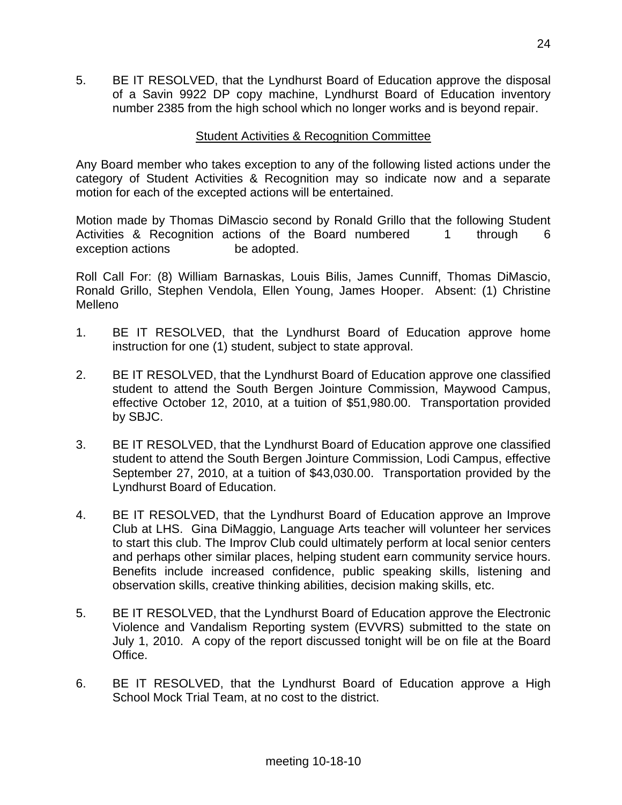5. BE IT RESOLVED, that the Lyndhurst Board of Education approve the disposal of a Savin 9922 DP copy machine, Lyndhurst Board of Education inventory number 2385 from the high school which no longer works and is beyond repair.

## Student Activities & Recognition Committee

Any Board member who takes exception to any of the following listed actions under the category of Student Activities & Recognition may so indicate now and a separate motion for each of the excepted actions will be entertained.

Motion made by Thomas DiMascio second by Ronald Grillo that the following Student Activities & Recognition actions of the Board numbered 1 through 6 exception actions be adopted.

Roll Call For: (8) William Barnaskas, Louis Bilis, James Cunniff, Thomas DiMascio, Ronald Grillo, Stephen Vendola, Ellen Young, James Hooper. Absent: (1) Christine Melleno

- 1. BE IT RESOLVED, that the Lyndhurst Board of Education approve home instruction for one (1) student, subject to state approval.
- 2. BE IT RESOLVED, that the Lyndhurst Board of Education approve one classified student to attend the South Bergen Jointure Commission, Maywood Campus, effective October 12, 2010, at a tuition of \$51,980.00. Transportation provided by SBJC.
- 3. BE IT RESOLVED, that the Lyndhurst Board of Education approve one classified student to attend the South Bergen Jointure Commission, Lodi Campus, effective September 27, 2010, at a tuition of \$43,030.00. Transportation provided by the Lyndhurst Board of Education.
- 4. BE IT RESOLVED, that the Lyndhurst Board of Education approve an Improve Club at LHS. Gina DiMaggio, Language Arts teacher will volunteer her services to start this club. The Improv Club could ultimately perform at local senior centers and perhaps other similar places, helping student earn community service hours. Benefits include increased confidence, public speaking skills, listening and observation skills, creative thinking abilities, decision making skills, etc.
- 5. BE IT RESOLVED, that the Lyndhurst Board of Education approve the Electronic Violence and Vandalism Reporting system (EVVRS) submitted to the state on July 1, 2010. A copy of the report discussed tonight will be on file at the Board Office.
- 6. BE IT RESOLVED, that the Lyndhurst Board of Education approve a High School Mock Trial Team, at no cost to the district.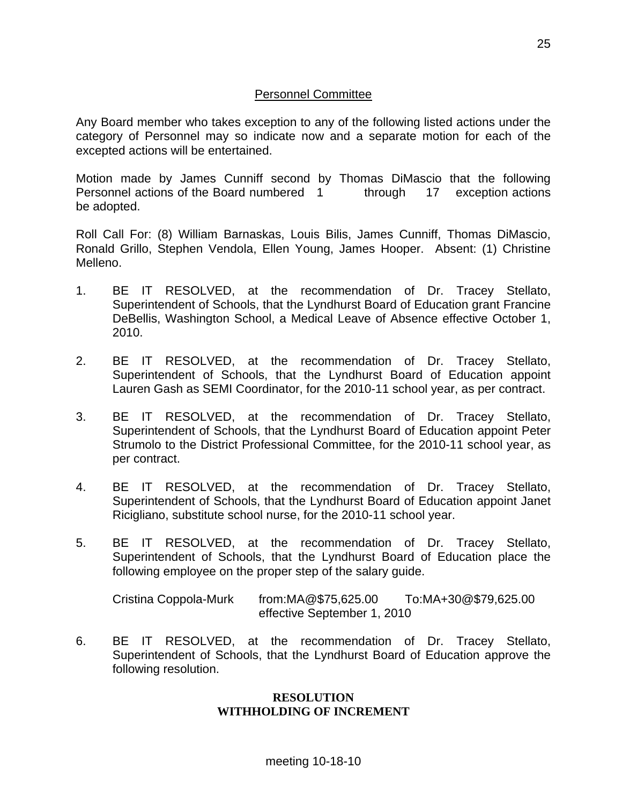## Personnel Committee

Any Board member who takes exception to any of the following listed actions under the category of Personnel may so indicate now and a separate motion for each of the excepted actions will be entertained.

Motion made by James Cunniff second by Thomas DiMascio that the following Personnel actions of the Board numbered 1 through 17 exception actions be adopted.

Roll Call For: (8) William Barnaskas, Louis Bilis, James Cunniff, Thomas DiMascio, Ronald Grillo, Stephen Vendola, Ellen Young, James Hooper. Absent: (1) Christine Melleno.

- 1. BE IT RESOLVED, at the recommendation of Dr. Tracey Stellato, Superintendent of Schools, that the Lyndhurst Board of Education grant Francine DeBellis, Washington School, a Medical Leave of Absence effective October 1, 2010.
- 2. BE IT RESOLVED, at the recommendation of Dr. Tracey Stellato, Superintendent of Schools, that the Lyndhurst Board of Education appoint Lauren Gash as SEMI Coordinator, for the 2010-11 school year, as per contract.
- 3. BE IT RESOLVED, at the recommendation of Dr. Tracey Stellato, Superintendent of Schools, that the Lyndhurst Board of Education appoint Peter Strumolo to the District Professional Committee, for the 2010-11 school year, as per contract.
- 4. BE IT RESOLVED, at the recommendation of Dr. Tracey Stellato, Superintendent of Schools, that the Lyndhurst Board of Education appoint Janet Ricigliano, substitute school nurse, for the 2010-11 school year.
- 5. BE IT RESOLVED, at the recommendation of Dr. Tracey Stellato, Superintendent of Schools, that the Lyndhurst Board of Education place the following employee on the proper step of the salary guide.

 Cristina Coppola-Murk from:MA@\$75,625.00 To:MA+30@\$79,625.00 effective September 1, 2010

6. BE IT RESOLVED, at the recommendation of Dr. Tracey Stellato, Superintendent of Schools, that the Lyndhurst Board of Education approve the following resolution.

#### **RESOLUTION WITHHOLDING OF INCREMENT**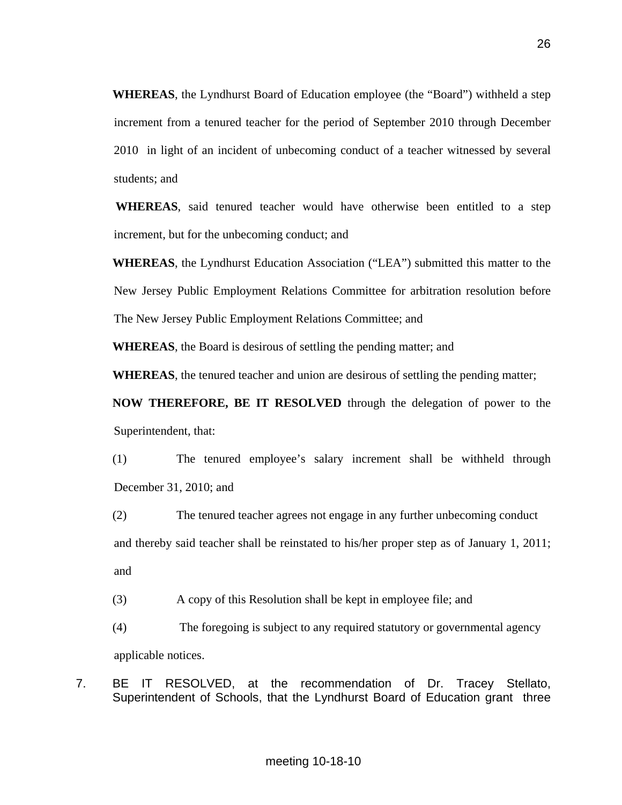**WHEREAS**, the Lyndhurst Board of Education employee (the "Board") withheld a step increment from a tenured teacher for the period of September 2010 through December 2010 in light of an incident of unbecoming conduct of a teacher witnessed by several students; and

**WHEREAS**, said tenured teacher would have otherwise been entitled to a step increment, but for the unbecoming conduct; and

**WHEREAS**, the Lyndhurst Education Association ("LEA") submitted this matter to the New Jersey Public Employment Relations Committee for arbitration resolution before The New Jersey Public Employment Relations Committee; and

**WHEREAS**, the Board is desirous of settling the pending matter; and

**WHEREAS**, the tenured teacher and union are desirous of settling the pending matter;

**NOW THEREFORE, BE IT RESOLVED** through the delegation of power to the Superintendent, that:

(1) The tenured employee's salary increment shall be withheld through December 31, 2010; and

(2) The tenured teacher agrees not engage in any further unbecoming conduct and thereby said teacher shall be reinstated to his/her proper step as of January 1, 2011; and

(3) A copy of this Resolution shall be kept in employee file; and

(4) The foregoing is subject to any required statutory or governmental agency applicable notices.

7. BE IT RESOLVED, at the recommendation of Dr. Tracey Stellato, Superintendent of Schools, that the Lyndhurst Board of Education grant three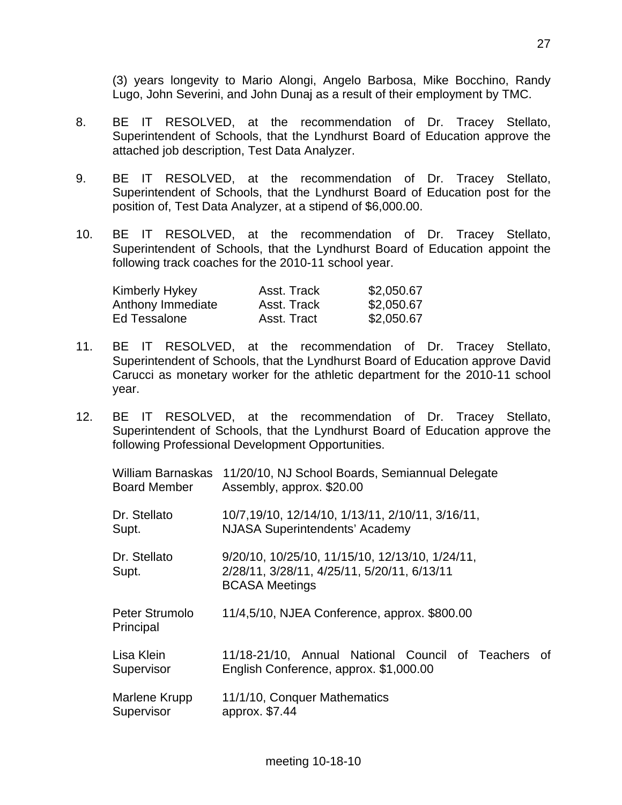(3) years longevity to Mario Alongi, Angelo Barbosa, Mike Bocchino, Randy Lugo, John Severini, and John Dunaj as a result of their employment by TMC.

- 8. BE IT RESOLVED, at the recommendation of Dr. Tracey Stellato, Superintendent of Schools, that the Lyndhurst Board of Education approve the attached job description, Test Data Analyzer.
- 9. BE IT RESOLVED, at the recommendation of Dr. Tracey Stellato, Superintendent of Schools, that the Lyndhurst Board of Education post for the position of, Test Data Analyzer, at a stipend of \$6,000.00.
- 10. BE IT RESOLVED, at the recommendation of Dr. Tracey Stellato, Superintendent of Schools, that the Lyndhurst Board of Education appoint the following track coaches for the 2010-11 school year.

| Kimberly Hykey    | Asst. Track | \$2,050.67 |
|-------------------|-------------|------------|
| Anthony Immediate | Asst. Track | \$2,050.67 |
| Ed Tessalone      | Asst. Tract | \$2,050.67 |

- 11. BE IT RESOLVED, at the recommendation of Dr. Tracey Stellato, Superintendent of Schools, that the Lyndhurst Board of Education approve David Carucci as monetary worker for the athletic department for the 2010-11 school year.
- 12. BE IT RESOLVED, at the recommendation of Dr. Tracey Stellato, Superintendent of Schools, that the Lyndhurst Board of Education approve the following Professional Development Opportunities.

William Barnaskas 11/20/10, NJ School Boards, Semiannual Delegate Board Member Assembly, approx. \$20.00

Dr. Stellato 10/7,19/10, 12/14/10, 1/13/11, 2/10/11, 3/16/11, Supt. NJASA Superintendents' Academy

 Dr. Stellato 9/20/10, 10/25/10, 11/15/10, 12/13/10, 1/24/11, Supt. 2/28/11, 3/28/11, 4/25/11, 5/20/11, 6/13/11 BCASA Meetings

Peter Strumolo 11/4,5/10, NJEA Conference, approx. \$800.00 Principal

 Lisa Klein 11/18-21/10, Annual National Council of Teachers of Supervisor English Conference, approx. \$1,000.00

Marlene Krupp 11/1/10, Conquer Mathematics Supervisor approx. \$7.44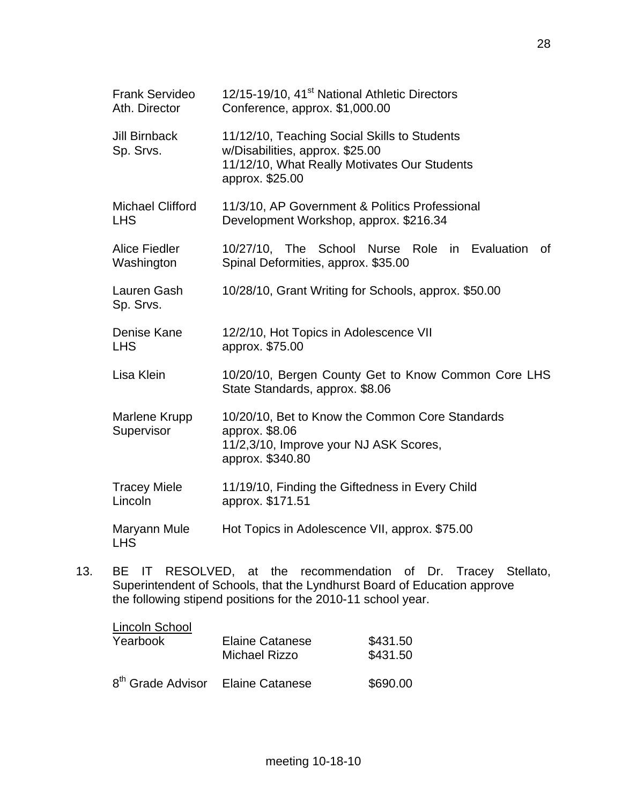| <b>Frank Servideo</b><br>Ath. Director | 12/15-19/10, 41 <sup>st</sup> National Athletic Directors<br>Conference, approx. \$1,000.00                                                        |  |  |
|----------------------------------------|----------------------------------------------------------------------------------------------------------------------------------------------------|--|--|
| <b>Jill Birnback</b><br>Sp. Srvs.      | 11/12/10, Teaching Social Skills to Students<br>w/Disabilities, approx. \$25.00<br>11/12/10, What Really Motivates Our Students<br>approx. \$25.00 |  |  |
| <b>Michael Clifford</b><br><b>LHS</b>  | 11/3/10, AP Government & Politics Professional<br>Development Workshop, approx. \$216.34                                                           |  |  |
| <b>Alice Fiedler</b><br>Washington     | 10/27/10, The School Nurse Role in Evaluation<br>0f<br>Spinal Deformities, approx. \$35.00                                                         |  |  |
| Lauren Gash<br>Sp. Srvs.               | 10/28/10, Grant Writing for Schools, approx. \$50.00                                                                                               |  |  |
| Denise Kane<br><b>LHS</b>              | 12/2/10, Hot Topics in Adolescence VII<br>approx. \$75.00                                                                                          |  |  |
| Lisa Klein                             | 10/20/10, Bergen County Get to Know Common Core LHS<br>State Standards, approx. \$8.06                                                             |  |  |
| Marlene Krupp<br>Supervisor            | 10/20/10, Bet to Know the Common Core Standards<br>approx. \$8.06<br>11/2,3/10, Improve your NJ ASK Scores,<br>approx. \$340.80                    |  |  |
| <b>Tracey Miele</b><br>Lincoln         | 11/19/10, Finding the Giftedness in Every Child<br>approx. \$171.51                                                                                |  |  |
| Maryann Mule<br><b>LHS</b>             | Hot Topics in Adolescence VII, approx. \$75.00                                                                                                     |  |  |

13. BE IT RESOLVED, at the recommendation of Dr. Tracey Stellato, Superintendent of Schools, that the Lyndhurst Board of Education approve the following stipend positions for the 2010-11 school year.

meeting 10-18-10

| Lincoln School                                | <b>Elaine Catanese</b> | \$431.50 |
|-----------------------------------------------|------------------------|----------|
| Yearbook                                      | <b>Michael Rizzo</b>   | \$431.50 |
| 8 <sup>th</sup> Grade Advisor Elaine Catanese |                        | \$690.00 |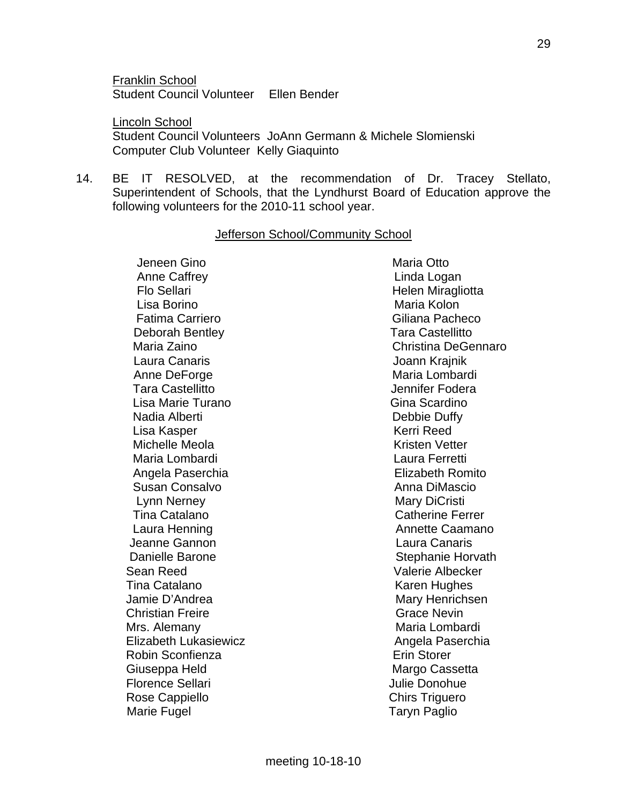Franklin School Student Council Volunteer Ellen Bender

 Lincoln School Student Council Volunteers JoAnn Germann & Michele Slomienski Computer Club Volunteer Kelly Giaquinto

14. BE IT RESOLVED, at the recommendation of Dr. Tracey Stellato, Superintendent of Schools, that the Lyndhurst Board of Education approve the following volunteers for the 2010-11 school year.

#### Jefferson School/Community School

Jeneen Gino **Maria Otto** Maria Otto Anne Caffrey **Linda Logan** Flo Sellari **Helen Miragliotta** Lisa Borino **Maria Kolon** Fatima Carriero **Giliana Pacheco**  Deborah Bentley Tara Castellitto Laura Canaris Joann Krajnik Anne DeForge **Maria Lombardi** Maria Lombardi Tara Castellitto Jennifer Fodera Lisa Marie Turano **Gina Scardino** Gina Scardino Nadia Alberti **Nadia Alberti** Debbie Duffy Lisa Kasper News, 2008, 2009, 2009, 2009, 2009, 2009, 2009, 2009, 2009, 2009, 2009, 2009, 2009, 2009, 2009, 20 Michelle Meola **Kristen Vetter** Maria Lombardi **Maria Laura Ferretti**  Angela Paserchia Elizabeth Romito Susan Consalvo Anna DiMascio Lynn Nerney **Mary Dichilling** Mary DiCristi Tina Catalano **Catherine Ferrer** Catherine Ferrer Laura Henning **Annette Caamano**  Jeanne Gannon Laura Canaris Danielle Barone **Stephanie Horvath**  Sean Reed Valerie Albecker Tina Catalano **Karen Hughes** Karen Hughes Jamie D'Andrea Mary Henrichsen Christian Freire Grace Nevin Mrs. Alemany **Maria Lombardi** Maria Lombardi Elizabeth Lukasiewicz **Angela Paserchia** Robin Sconfienza **Erin Storer** Erin Storer Giuseppa Held Margo Cassetta Florence Sellari **Mateur Accessity** Julie Donohue Rose Cappiello **Chirs Triguero** Chirs Triguero Marie Fugel **Taryn Paglio** 

Maria Zaino Christina DeGennaro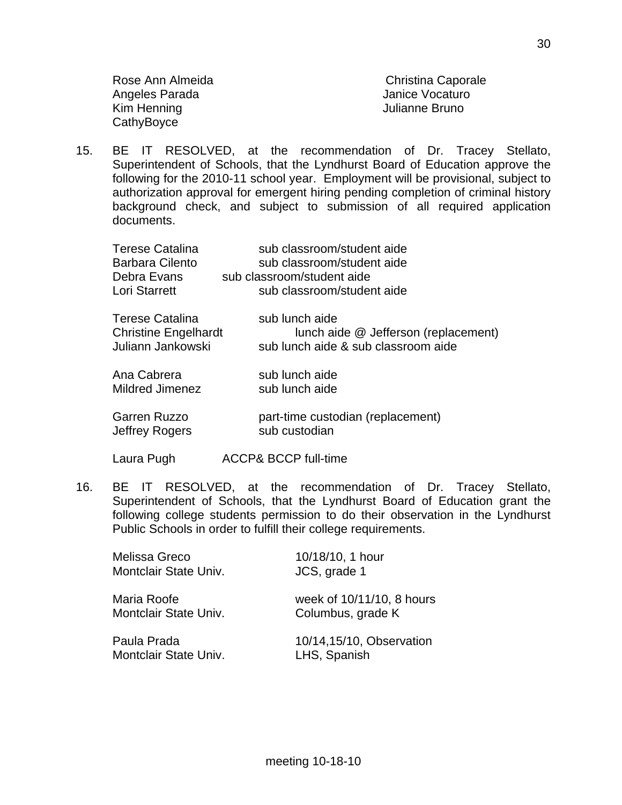Rose Ann Almeida **Christina Caporale** Angeles Parada **Janice Vocaturo**  Kim Henning Julianne Bruno **CathyBoyce** 

15. BE IT RESOLVED, at the recommendation of Dr. Tracey Stellato, Superintendent of Schools, that the Lyndhurst Board of Education approve the following for the 2010-11 school year. Employment will be provisional, subject to authorization approval for emergent hiring pending completion of criminal history background check, and subject to submission of all required application documents.

| Terese Catalina             | sub classroom/student aide           |
|-----------------------------|--------------------------------------|
| <b>Barbara Cilento</b>      | sub classroom/student aide           |
| Debra Evans                 | sub classroom/student aide           |
| <b>Lori Starrett</b>        | sub classroom/student aide           |
| Terese Catalina             | sub lunch aide                       |
| <b>Christine Engelhardt</b> | lunch aide @ Jefferson (replacement) |
| Juliann Jankowski           | sub lunch aide & sub classroom aide  |
| Ana Cabrera                 | sub lunch aide                       |
| Mildred Jimenez             | sub lunch aide                       |
| Garren Ruzzo                | part-time custodian (replacement)    |
| Jeffrey Rogers              | sub custodian                        |

- Laura Pugh ACCP& BCCP full-time
- 16. BE IT RESOLVED, at the recommendation of Dr. Tracey Stellato, Superintendent of Schools, that the Lyndhurst Board of Education grant the following college students permission to do their observation in the Lyndhurst Public Schools in order to fulfill their college requirements.

|             | Melissa Greco<br>Montclair State Univ. | 10/18/10, 1 hour<br>JCS, grade 1               |
|-------------|----------------------------------------|------------------------------------------------|
| Maria Roofe | Montclair State Univ.                  | week of 10/11/10, 8 hours<br>Columbus, grade K |
| Paula Prada | Montclair State Univ.                  | 10/14,15/10, Observation<br>LHS, Spanish       |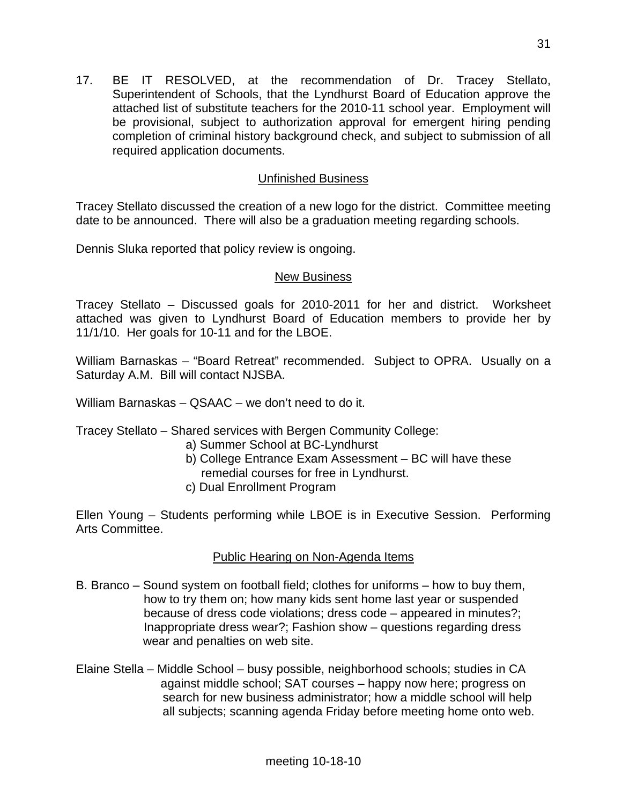17. BE IT RESOLVED, at the recommendation of Dr. Tracey Stellato, Superintendent of Schools, that the Lyndhurst Board of Education approve the attached list of substitute teachers for the 2010-11 school year. Employment will be provisional, subject to authorization approval for emergent hiring pending completion of criminal history background check, and subject to submission of all required application documents.

## Unfinished Business

Tracey Stellato discussed the creation of a new logo for the district. Committee meeting date to be announced. There will also be a graduation meeting regarding schools.

Dennis Sluka reported that policy review is ongoing.

#### New Business

Tracey Stellato – Discussed goals for 2010-2011 for her and district. Worksheet attached was given to Lyndhurst Board of Education members to provide her by 11/1/10. Her goals for 10-11 and for the LBOE.

William Barnaskas – "Board Retreat" recommended. Subject to OPRA. Usually on a Saturday A.M. Bill will contact NJSBA.

William Barnaskas – QSAAC – we don't need to do it.

Tracey Stellato – Shared services with Bergen Community College:

- a) Summer School at BC-Lyndhurst
- b) College Entrance Exam Assessment BC will have these
- remedial courses for free in Lyndhurst.
- c) Dual Enrollment Program

Ellen Young – Students performing while LBOE is in Executive Session. Performing Arts Committee.

## Public Hearing on Non-Agenda Items

- B. Branco Sound system on football field; clothes for uniforms how to buy them, how to try them on; how many kids sent home last year or suspended because of dress code violations; dress code – appeared in minutes?; Inappropriate dress wear?; Fashion show – questions regarding dress wear and penalties on web site.
- Elaine Stella Middle School busy possible, neighborhood schools; studies in CA against middle school; SAT courses – happy now here; progress on search for new business administrator; how a middle school will help all subjects; scanning agenda Friday before meeting home onto web.